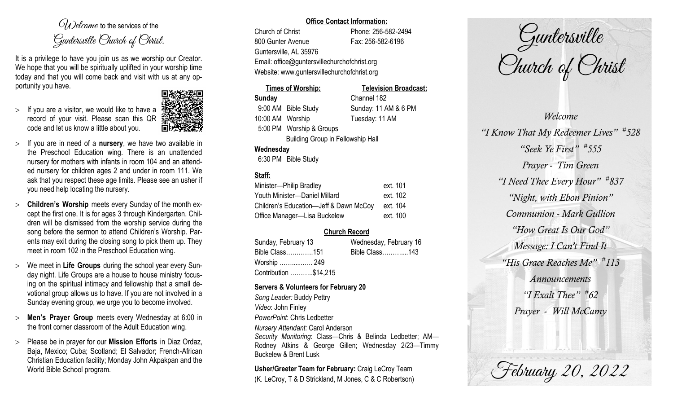$O(\lambda)$  elcame to the services of the Guntersville Church of Christ.

It is a privilege to have you join us as we worship our Creator. We hope that you will be spiritually uplifted in your worship time today and that you will come back and visit with us at any opportunity you have.

 $>$  If you are a visitor, we would like to have a record of your visit. Please scan this QR code and let us know a little about you.



- $>$  If you are in need of a **nursery**, we have two available in the Preschool Education wing. There is an unattended nursery for mothers with infants in room 104 and an attended nursery for children ages 2 and under in room 111. We ask that you respect these age limits. Please see an usher if you need help locating the nursery.
- **Children's Worship** meets every Sunday of the month except the first one. It is for ages 3 through Kindergarten. Children will be dismissed from the worship service during the song before the sermon to attend Children's Worship. Parents may exit during the closing song to pick them up. They meet in room 102 in the Preschool Education wing.
- We meet in **Life Groups** during the school year every Sunday night. Life Groups are a house to house ministry focusing on the spiritual intimacy and fellowship that a small devotional group allows us to have. If you are not involved in a Sunday evening group, we urge you to become involved.
- **Men's Prayer Group** meets every Wednesday at 6:00 in the front corner classroom of the Adult Education wing.
- Please be in prayer for our **Mission Efforts** in Diaz Ordaz, Baja, Mexico; Cuba; Scotland; El Salvador; French-African Christian Education facility; Monday John Akpakpan and the World Bible School program.

### **Office Contact Information:**

Church of Christ Phone: 256-582-2494 800 Gunter Avenue Fax: 256-582-6196 Guntersville, AL 35976 Email: office@guntersvillechurchofchrist.org Website: www.guntersvillechurchofchrist.org

# **Times of Worship: Television Broadcast: Sunday** Channel 182

9:00 AM Bible Study Sunday: 11 AM & 6 PM 10:00 AM Worship Tuesday: 11 AM 5:00 PM Worship & Groups

Building Group in Fellowship Hall

## **Wednesday**

6:30 PM Bible Study

# **Staff:**

| Minister-Philip Bradley                | ext. 101 |
|----------------------------------------|----------|
| Youth Minister-Daniel Millard          | ext. 102 |
| Children's Education-Jeff & Dawn McCoy | ext. 104 |
| Office Manager-Lisa Buckelew           | ext. 100 |

# **Church Record**

| Sunday, February 13   |  | Wednesday, February 16 |  |
|-----------------------|--|------------------------|--|
| Bible Class151        |  | Bible Class143         |  |
| Worship  249          |  |                        |  |
| Contribution \$14,215 |  |                        |  |

## **Servers & Volunteers for February 20**

*Song Leader:* Buddy Pettry *Video*: John Finley *PowerPoint*: Chris Ledbetter *Nursery Attendant:* Carol Anderson *Security Monitoring*: Class—Chris & Belinda Ledbetter; AM— Rodney Atkins & George Gillen; Wednesday 2/23—Timmy Buckelew & Brent Lusk

**Usher/Greeter Team for February:** Craig LeCroy Team (K. LeCroy, T & D Strickland, M Jones, C & C Robertson)

Guntersville Church of Christ

*Welcome "I Know That My Redeemer Lives" # 528 "Seek Ye First" # 555 Prayer - Tim Green "I Need Thee Every Hour" # 837 "Night, with Ebon Pinion" Communion - Mark Gullion "How Great Is Our God" Message: I Can't Find It "His Grace Reaches Me" # 113 Announcements "I Exalt Thee" # 62 Prayer - Will McCamy*

February 20, 2022